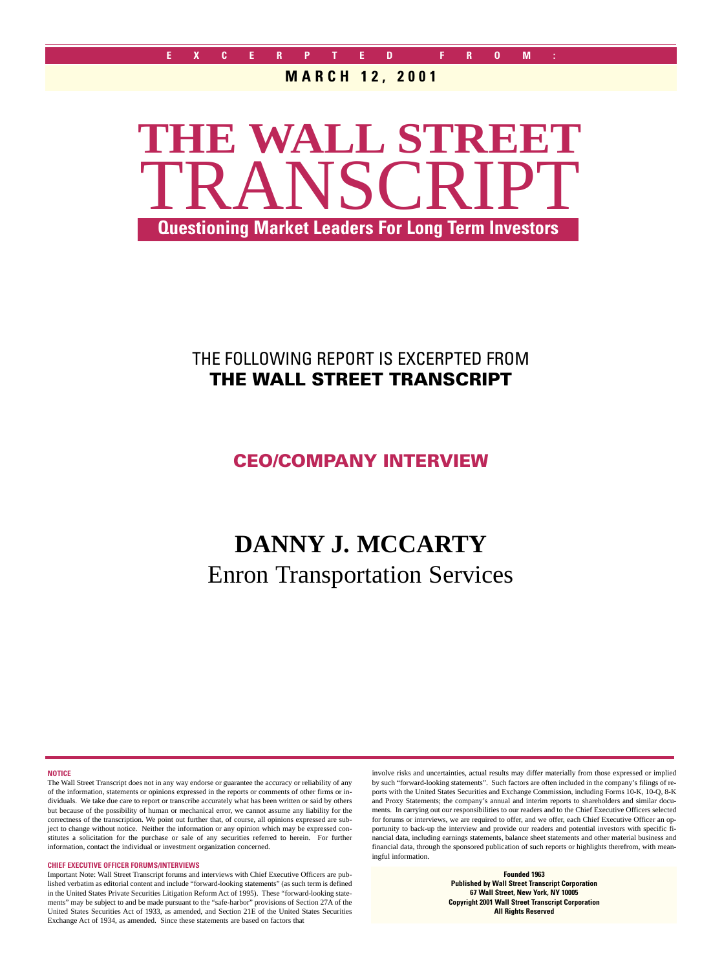#### **MARCH 12, 2001**



# THE FOLLOWING REPORT IS EXCERPTED FROM **THE WALL STREET TRANSCRIPT**

**CEO/COMPANY INTERVIEW**

# **DANNY J. MCCARTY** Enron Transportation Services

**NOTICE**

The Wall Street Transcript does not in any way endorse or guarantee the accuracy or reliability of any of the information, statements or opinions expressed in the reports or comments of other firms or individuals. We take due care to report or transcribe accurately what has been written or said by others but because of the possibility of human or mechanical error, we cannot assume any liability for the correctness of the transcription. We point out further that, of course, all opinions expressed are subject to change without notice. Neither the information or any opinion which may be expressed constitutes a solicitation for the purchase or sale of any securities referred to herein. For further information, contact the individual or investment organization concerned.

#### **CHIEF EXECUTIVE OFFICER FORUMS/INTERVIEWS**

Important Note: Wall Street Transcript forums and interviews with Chief Executive Officers are published verbatim as editorial content and include "forward-looking statements" (as such term is defined in the United States Private Securities Litigation Reform Act of 1995). These "forward-looking statements" may be subject to and be made pursuant to the "safe-harbor" provisions of Section 27A of the United States Securities Act of 1933, as amended, and Section 21E of the United States Securities Exchange Act of 1934, as amended. Since these statements are based on factors that

involve risks and uncertainties, actual results may differ materially from those expressed or implied by such "forward-looking statements". Such factors are often included in the company's filings of reports with the United States Securities and Exchange Commission, including Forms 10-K, 10-Q, 8-K and Proxy Statements; the company's annual and interim reports to shareholders and similar documents. In carrying out our responsibilities to our readers and to the Chief Executive Officers selected for forums or interviews, we are required to offer, and we offer, each Chief Executive Officer an opportunity to back-up the interview and provide our readers and potential investors with specific financial data, including earnings statements, balance sheet statements and other material business and financial data, through the sponsored publication of such reports or highlights therefrom, with meaningful information.

> **Founded 1963 Published by Wall Street Transcript Corporation 67 Wall Street, New York, NY 10005 Copyright 2001 Wall Street Transcript Corporation All Rights Reserved**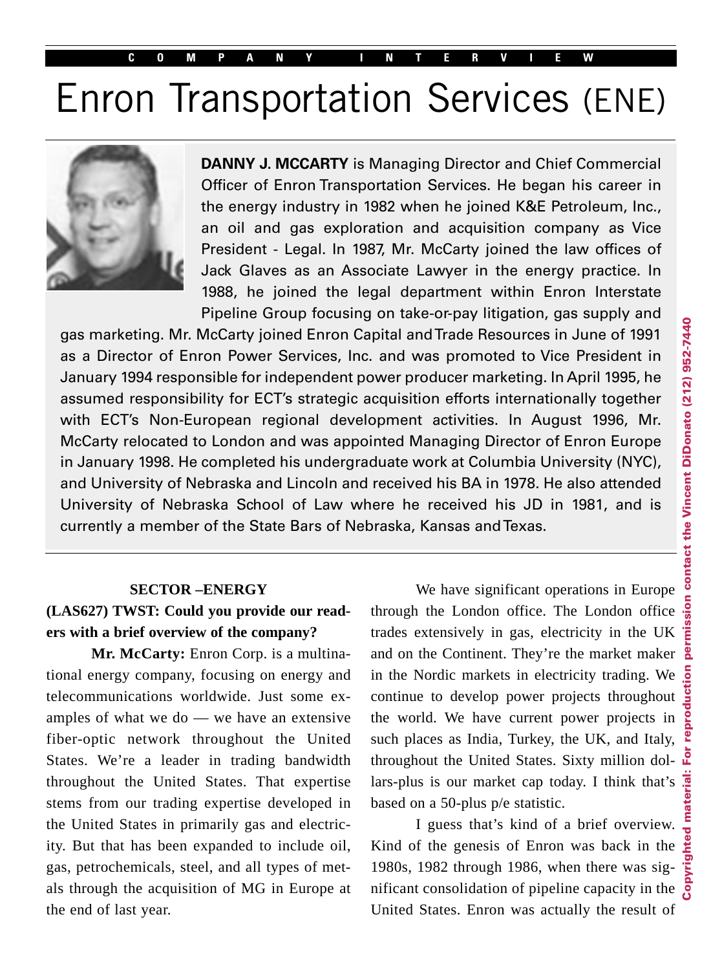#### **COMPANY INTERVIEW**

# Enron Transportation Services (ENE)



**DANNY J. MCCARTY** is Managing Director and Chief Commercial Officer of Enron Transportation Services. He began his career in the energy industry in 1982 when he joined K&E Petroleum, Inc., an oil and gas exploration and acquisition company as Vice President - Legal. In 1987, Mr. McCarty joined the law offices of Jack Glaves as an Associate Lawyer in the energy practice. In 1988, he joined the legal department within Enron Interstate Pipeline Group focusing on take-or-pay litigation, gas supply and

gas marketing. Mr. McCarty joined Enron Capital and Trade Resources in June of 1991 as a Director of Enron Power Services, Inc. and was promoted to Vice President in January 1994 responsible for independent power producer marketing. In April 1995, he assumed responsibility for ECT's strategic acquisition efforts internationally together with ECT's Non-European regional development activities. In August 1996, Mr. McCarty relocated to London and was appointed Managing Director of Enron Europe in January 1998. He completed his undergraduate work at Columbia University (NYC), and University of Nebraska and Lincoln and received his BA in 1978. He also attended University of Nebraska School of Law where he received his JD in 1981, and is currently a member of the State Bars of Nebraska, Kansas and Texas.

### **SECTOR –ENERGY (LAS627) TWST: Could you provide our readers with a brief overview of the company?**

**Mr. McCarty:** Enron Corp. is a multinational energy company, focusing on energy and telecommunications worldwide. Just some examples of what we do — we have an extensive fiber-optic network throughout the United States. We're a leader in trading bandwidth throughout the United States. That expertise stems from our trading expertise developed in the United States in primarily gas and electricity. But that has been expanded to include oil, gas, petrochemicals, steel, and all types of metals through the acquisition of MG in Europe at the end of last year.

We have significant operations in Europe through the London office. The London office trades extensively in gas, electricity in the UK and on the Continent. They're the market maker in the Nordic markets in electricity trading. We continue to develop power projects throughout the world. We have current power projects in such places as India, Turkey, the UK, and Italy, throughout the United States. Sixty million dollars-plus is our market cap today. I think that's based on a 50-plus p/e statistic.

I guess that's kind of a brief overview. Kind of the genesis of Enron was back in the 1980s, 1982 through 1986, when there was significant consolidation of pipeline capacity in the United States. Enron was actually the result of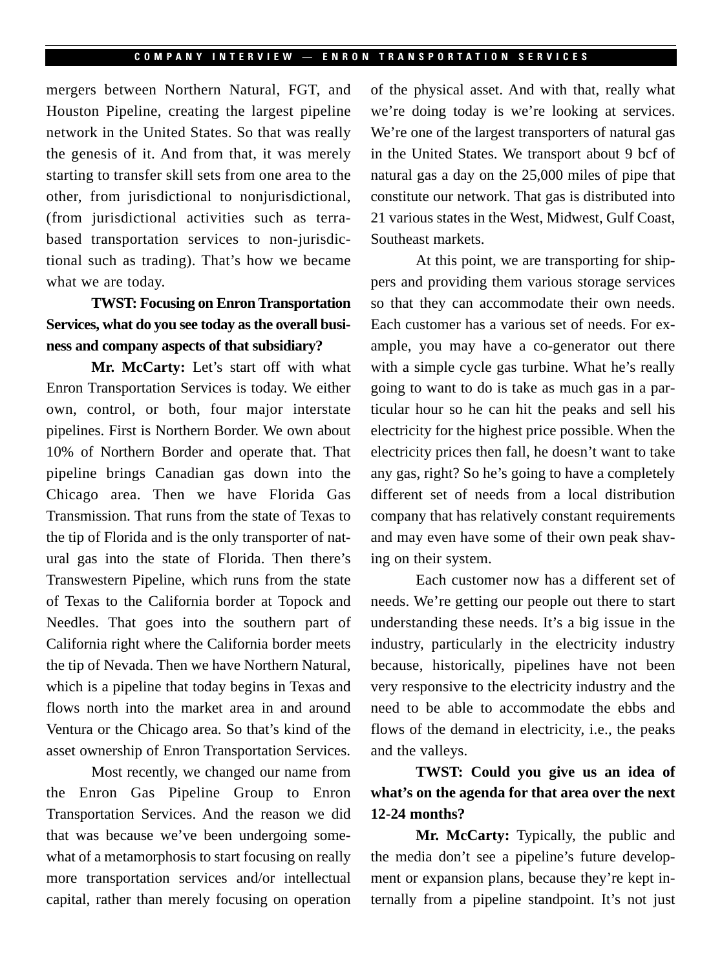mergers between Northern Natural, FGT, and Houston Pipeline, creating the largest pipeline network in the United States. So that was really the genesis of it. And from that, it was merely starting to transfer skill sets from one area to the other, from jurisdictional to nonjurisdictional, (from jurisdictional activities such as terrabased transportation services to non-jurisdictional such as trading). That's how we became what we are today.

## **TWST: Focusing on Enron Transportation Services, what do you see today as the overall business and company aspects of that subsidiary?**

**Mr. McCarty:** Let's start off with what Enron Transportation Services is today. We either own, control, or both, four major interstate pipelines. First is Northern Border. We own about 10% of Northern Border and operate that. That pipeline brings Canadian gas down into the Chicago area. Then we have Florida Gas Transmission. That runs from the state of Texas to the tip of Florida and is the only transporter of natural gas into the state of Florida. Then there's Transwestern Pipeline, which runs from the state of Texas to the California border at Topock and Needles. That goes into the southern part of California right where the California border meets the tip of Nevada. Then we have Northern Natural, which is a pipeline that today begins in Texas and flows north into the market area in and around Ventura or the Chicago area. So that's kind of the asset ownership of Enron Transportation Services.

Most recently, we changed our name from the Enron Gas Pipeline Group to Enron Transportation Services. And the reason we did that was because we've been undergoing somewhat of a metamorphosis to start focusing on really more transportation services and/or intellectual capital, rather than merely focusing on operation of the physical asset. And with that, really what we're doing today is we're looking at services. We're one of the largest transporters of natural gas in the United States. We transport about 9 bcf of natural gas a day on the 25,000 miles of pipe that constitute our network. That gas is distributed into 21 various states in the West, Midwest, Gulf Coast, Southeast markets.

At this point, we are transporting for shippers and providing them various storage services so that they can accommodate their own needs. Each customer has a various set of needs. For example, you may have a co-generator out there with a simple cycle gas turbine. What he's really going to want to do is take as much gas in a particular hour so he can hit the peaks and sell his electricity for the highest price possible. When the electricity prices then fall, he doesn't want to take any gas, right? So he's going to have a completely different set of needs from a local distribution company that has relatively constant requirements and may even have some of their own peak shaving on their system.

Each customer now has a different set of needs. We're getting our people out there to start understanding these needs. It's a big issue in the industry, particularly in the electricity industry because, historically, pipelines have not been very responsive to the electricity industry and the need to be able to accommodate the ebbs and flows of the demand in electricity, i.e., the peaks and the valleys.

# **TWST: Could you give us an idea of what's on the agenda for that area over the next 12-24 months?**

**Mr. McCarty:** Typically, the public and the media don't see a pipeline's future development or expansion plans, because they're kept internally from a pipeline standpoint. It's not just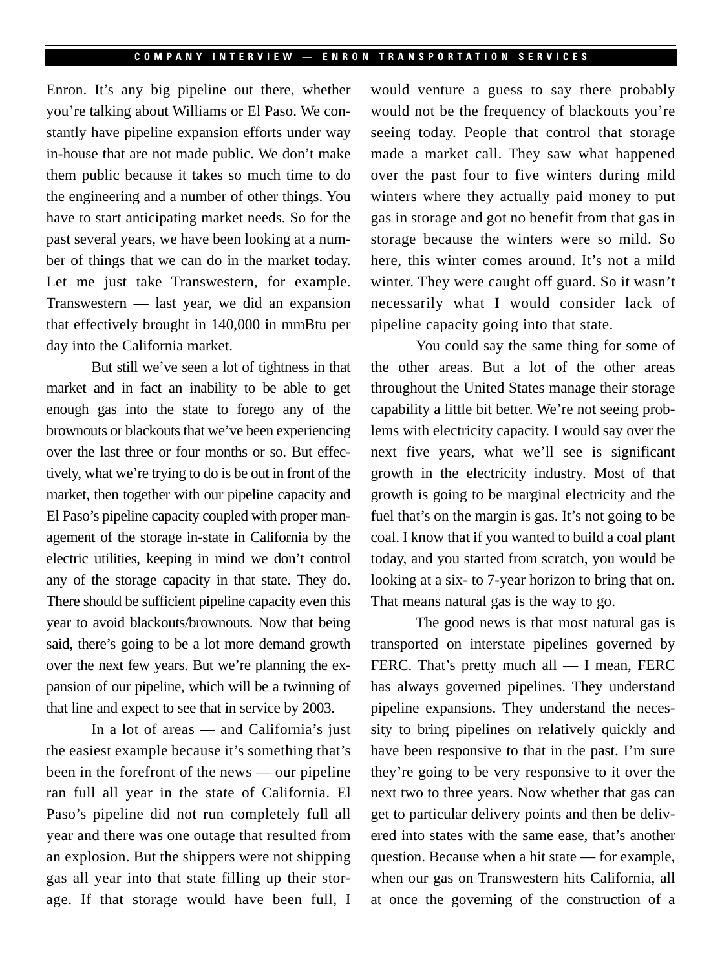Enron. It's any big pipeline out there, whether you're talking about Williams or El Paso. We constantly have pipeline expansion efforts under way in-house that are not made public. We don't make them public because it takes so much time to do the engineering and a number of other things. You have to start anticipating market needs. So for the past several years, we have been looking at a number of things that we can do in the market today. Let me just take Transwestern, for example. Transwestern — last year, we did an expansion that effectively brought in 140,000 in mmBtu per day into the California market.

But still we've seen a lot of tightness in that market and in fact an inability to be able to get enough gas into the state to forego any of the brownouts or blackouts that we've been experiencing over the last three or four months or so. But effectively, what we're trying to do is be out in front of the market, then together with our pipeline capacity and El Paso's pipeline capacity coupled with proper management of the storage in-state in California by the electric utilities, keeping in mind we don't control any of the storage capacity in that state. They do. There should be sufficient pipeline capacity even this year to avoid blackouts/brownouts. Now that being said, there's going to be a lot more demand growth over the next few years. But we're planning the expansion of our pipeline, which will be a twinning of that line and expect to see that in service by 2003.

In a lot of areas — and California's just the easiest example because it's something that's been in the forefront of the news — our pipeline ran full all year in the state of California. El Paso's pipeline did not run completely full all year and there was one outage that resulted from an explosion. But the shippers were not shipping gas all year into that state filling up their storage. If that storage would have been full, I would venture a guess to say there probably would not be the frequency of blackouts you're seeing today. People that control that storage made a market call. They saw what happened over the past four to five winters during mild winters where they actually paid money to put gas in storage and got no benefit from that gas in storage because the winters were so mild. So here, this winter comes around. It's not a mild winter. They were caught off guard. So it wasn't necessarily what I would consider lack of pipeline capacity going into that state.

You could say the same thing for some of the other areas. But a lot of the other areas throughout the United States manage their storage capability a little bit better. We're not seeing problems with electricity capacity. I would say over the next five years, what we'll see is significant growth in the electricity industry. Most of that growth is going to be marginal electricity and the fuel that's on the margin is gas. It's not going to be coal. I know that if you wanted to build a coal plant today, and you started from scratch, you would be looking at a six- to 7-year horizon to bring that on. That means natural gas is the way to go.

The good news is that most natural gas is transported on interstate pipelines governed by FERC. That's pretty much all — I mean, FERC has always governed pipelines. They understand pipeline expansions. They understand the necessity to bring pipelines on relatively quickly and have been responsive to that in the past. I'm sure they're going to be very responsive to it over the next two to three years. Now whether that gas can get to particular delivery points and then be delivered into states with the same ease, that's another question. Because when a hit state — for example, when our gas on Transwestern hits California, all at once the governing of the construction of a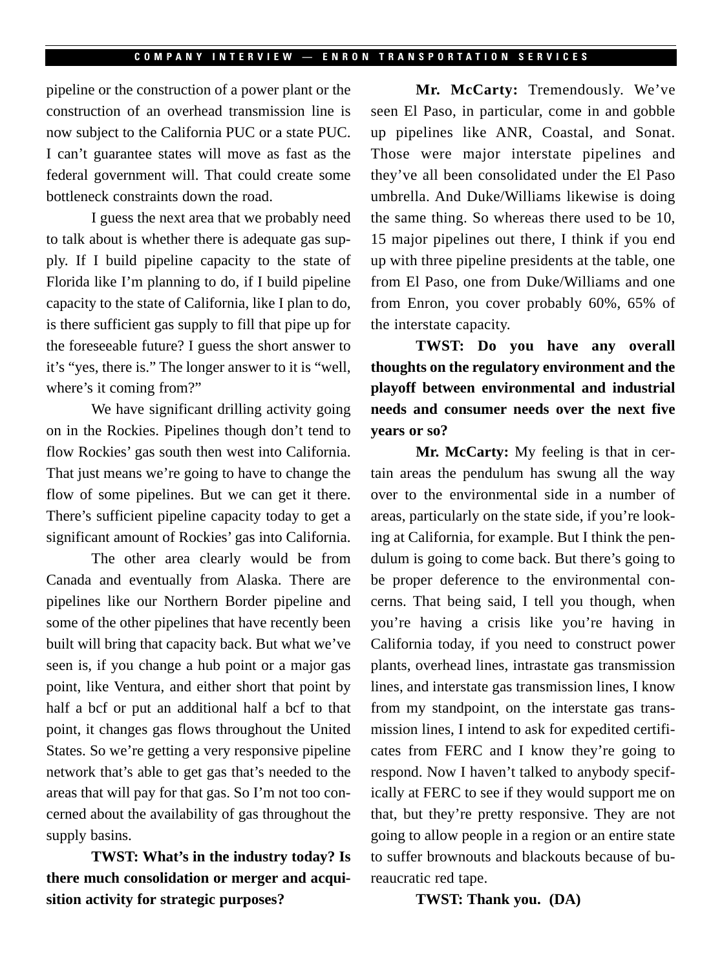pipeline or the construction of a power plant or the construction of an overhead transmission line is now subject to the California PUC or a state PUC. I can't guarantee states will move as fast as the federal government will. That could create some bottleneck constraints down the road.

I guess the next area that we probably need to talk about is whether there is adequate gas supply. If I build pipeline capacity to the state of Florida like I'm planning to do, if I build pipeline capacity to the state of California, like I plan to do, is there sufficient gas supply to fill that pipe up for the foreseeable future? I guess the short answer to it's "yes, there is." The longer answer to it is "well, where's it coming from?"

We have significant drilling activity going on in the Rockies. Pipelines though don't tend to flow Rockies' gas south then west into California. That just means we're going to have to change the flow of some pipelines. But we can get it there. There's sufficient pipeline capacity today to get a significant amount of Rockies' gas into California.

The other area clearly would be from Canada and eventually from Alaska. There are pipelines like our Northern Border pipeline and some of the other pipelines that have recently been built will bring that capacity back. But what we've seen is, if you change a hub point or a major gas point, like Ventura, and either short that point by half a bcf or put an additional half a bcf to that point, it changes gas flows throughout the United States. So we're getting a very responsive pipeline network that's able to get gas that's needed to the areas that will pay for that gas. So I'm not too concerned about the availability of gas throughout the supply basins.

**TWST: What's in the industry today? Is there much consolidation or merger and acquisition activity for strategic purposes?**

**Mr. McCarty:** Tremendously. We've seen El Paso, in particular, come in and gobble up pipelines like ANR, Coastal, and Sonat. Those were major interstate pipelines and they've all been consolidated under the El Paso umbrella. And Duke/Williams likewise is doing the same thing. So whereas there used to be 10, 15 major pipelines out there, I think if you end up with three pipeline presidents at the table, one from El Paso, one from Duke/Williams and one from Enron, you cover probably 60%, 65% of the interstate capacity.

**TWST: Do you have any overall thoughts on the regulatory environment and the playoff between environmental and industrial needs and consumer needs over the next five years or so?**

**Mr. McCarty:** My feeling is that in certain areas the pendulum has swung all the way over to the environmental side in a number of areas, particularly on the state side, if you're looking at California, for example. But I think the pendulum is going to come back. But there's going to be proper deference to the environmental concerns. That being said, I tell you though, when you're having a crisis like you're having in California today, if you need to construct power plants, overhead lines, intrastate gas transmission lines, and interstate gas transmission lines, I know from my standpoint, on the interstate gas transmission lines, I intend to ask for expedited certificates from FERC and I know they're going to respond. Now I haven't talked to anybody specifically at FERC to see if they would support me on that, but they're pretty responsive. They are not going to allow people in a region or an entire state to suffer brownouts and blackouts because of bureaucratic red tape.

**TWST: Thank you. (DA)**